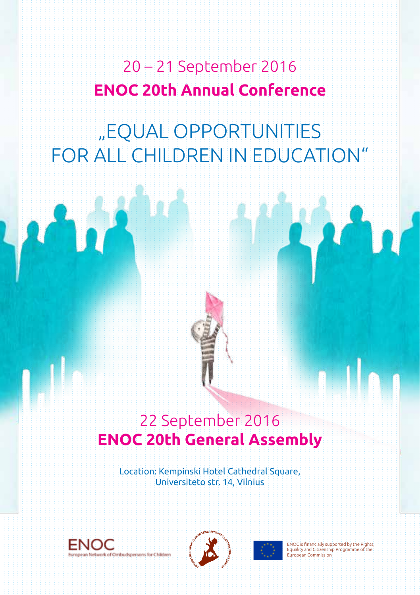20 – 21 September 2016 **ENOC 20th Annual Conference**

# "EQUAL OPPORTUNITIES for all children in education"

# 22 September 2016 **ENOC 20th General Assembly**

Location: Kempinski Hotel Cathedral Square, Universiteto str. 14, Vilnius







**European Commission**  $\begin{bmatrix} 1 & 2 & 3 \ 2 & 2 & 2 \end{bmatrix}$ ENOC is financially supported by the Rights, Equality and Citizenship Programme of the European Commission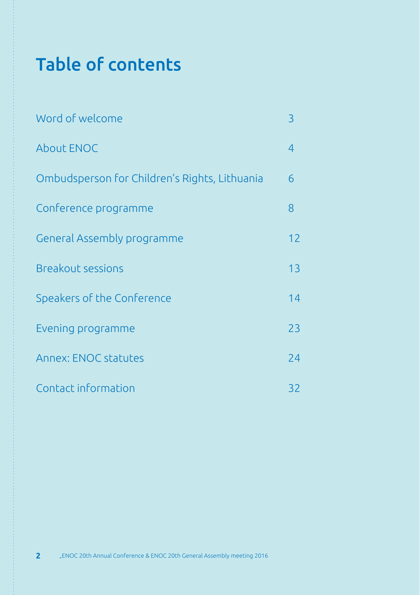# Table of contents

| Word of welcome                               | 3              |
|-----------------------------------------------|----------------|
| <b>About ENOC</b>                             | $\overline{4}$ |
| Ombudsperson for Children's Rights, Lithuania | 6              |
| Conference programme                          | 8              |
| General Assembly programme                    | 12             |
| <b>Breakout sessions</b>                      | 13             |
| Speakers of the Conference                    | 14             |
| Evening programme                             | 23             |
| Annex: ENOC statutes                          | 24             |
| Contact information                           | 32             |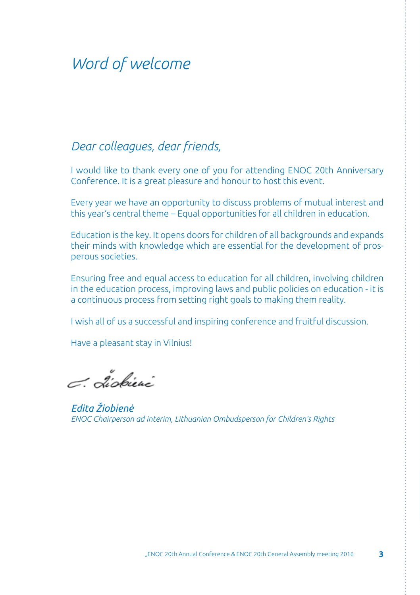# *Word of welcome*

## *Dear colleagues, dear friends,*

I would like to thank every one of you for attending ENOC 20th Anniversary Conference. It is a great pleasure and honour to host this event.

Every year we have an opportunity to discuss problems of mutual interest and this year's central theme – Equal opportunities for all children in education.

Education is the key. It opens doors for children of all backgrounds and expands their minds with knowledge which are essential for the development of prosperous societies.

Ensuring free and equal access to education for all children, involving children in the education process, improving laws and public policies on education - it is a continuous process from setting right goals to making them reality.

I wish all of us a successful and inspiring conference and fruitful discussion.

Have a pleasant stay in Vilnius!

C. Liokieni

*Edita Žiobienė ENOC Chairperson ad interim, Lithuanian Ombudsperson for Children's Rights*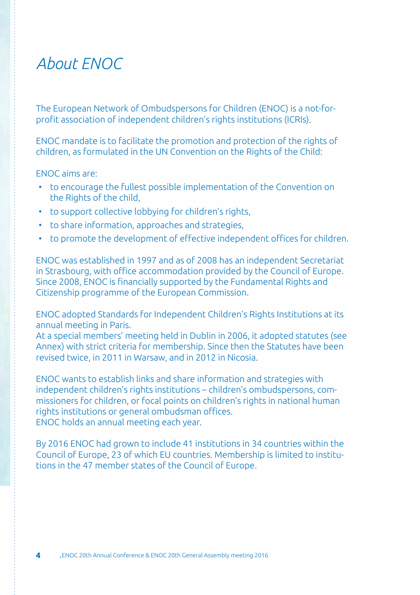# *About ENOC*

The European Network of Ombudspersons for Children (ENOC) is a not-forprofit association of independent children's rights institutions (ICRIs).

ENOC mandate is to facilitate the promotion and protection of the rights of children, as formulated in the UN Convention on the Rights of the Child:

ENOC aims are:

- to encourage the fullest possible implementation of the Convention on the Rights of the child,
- to support collective lobbying for children's rights,
- to share information, approaches and strategies,
- to promote the development of effective independent offices for children.

ENOC was established in 1997 and as of 2008 has an independent Secretariat in Strasbourg, with office accommodation provided by the Council of Europe. Since 2008, ENOC is financially supported by the Fundamental Rights and Citizenship programme of the European Commission.

ENOC adopted Standards for Independent Children's Rights Institutions at its annual meeting in Paris.

At a special members' meeting held in Dublin in 2006, it adopted statutes (see Annex) with strict criteria for membership. Since then the Statutes have been revised twice, in 2011 in Warsaw, and in 2012 in Nicosia.

ENOC wants to establish links and share information and strategies with independent children's rights institutions – children's ombudspersons, commissioners for children, or focal points on children's rights in national human rights institutions or general ombudsman offices. ENOC holds an annual meeting each year.

By 2016 ENOC had grown to include 41 institutions in 34 countries within the Council of Europe, 23 of which EU countries. Membership is limited to institutions in the 47 member states of the Council of Europe.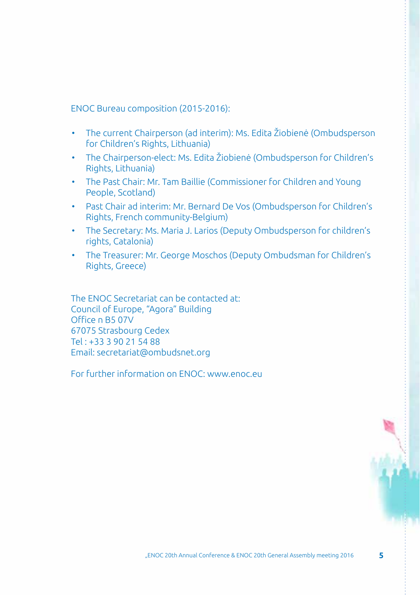ENOC Bureau composition (2015-2016):

- The current Chairperson (ad interim): Ms. Edita Žiobienė (Ombudsperson for Children's Rights, Lithuania)
- The Chairperson-elect: Ms. Edita Žiobienė (Ombudsperson for Children's Rights, Lithuania)
- The Past Chair: Mr. Tam Baillie (Commissioner for Children and Young People, Scotland)
- Past Chair ad interim: Mr. Bernard De Vos (Ombudsperson for Children's Rights, French community-Belgium)
- The Secretary: Ms. Maria J. Larios (Deputy Ombudsperson for children's rights, Catalonia)
- The Treasurer: Mr. George Moschos (Deputy Ombudsman for Children's Rights, Greece)

The ENOC Secretariat can be contacted at: Council of Europe, "Agora" Building Office n B5 07V 67075 Strasbourg Cedex Tel : +33 3 90 21 54 88 Email: secretariat@ombudsnet.org

For further information on ENOC: www.enoc.eu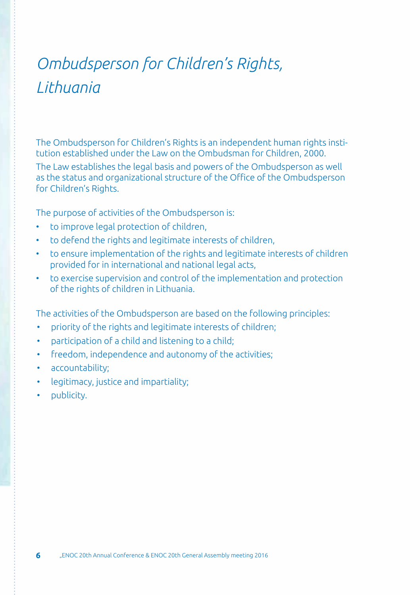# *Ombudsperson for Children's Rights, Lithuania*

The Ombudsperson for Children's Rights is an independent human rights institution established under the Law on the Ombudsman for Children, 2000.

The Law establishes the legal basis and powers of the Ombudsperson as well as the status and organizational structure of the Office of the Ombudsperson for Children's Rights.

The purpose of activities of the Ombudsperson is:

- to improve legal protection of children,
- to defend the rights and legitimate interests of children,
- to ensure implementation of the rights and legitimate interests of children provided for in international and national legal acts,
- to exercise supervision and control of the implementation and protection of the rights of children in Lithuania.

The activities of the Ombudsperson are based on the following principles:

- priority of the rights and legitimate interests of children;
- participation of a child and listening to a child;
- freedom, independence and autonomy of the activities;
- accountability;
- legitimacy, justice and impartiality;
- publicity.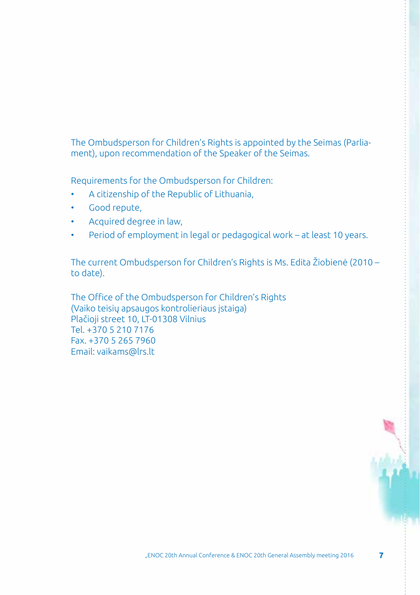The Ombudsperson for Children's Rights is appointed by the Seimas (Parliament), upon recommendation of the Speaker of the Seimas.

Requirements for the Ombudsperson for Children:

- A citizenship of the Republic of Lithuania,
- Good repute.
- Acquired degree in law,
- Period of employment in legal or pedagogical work at least 10 years.

The current Ombudsperson for Children's Rights is Ms. Edita Žiobienė (2010 – to date).

The Office of the Ombudsperson for Children's Rights (Vaiko teisių apsaugos kontrolieriaus įstaiga) Plačioji street 10, LT-01308 Vilnius Tel. +370 5 210 7176 Fax. +370 5 265 7960 Email: vaikams@lrs.lt

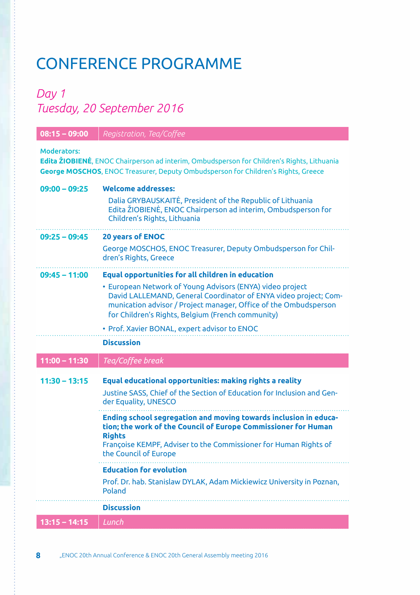# Conference programme

# *Day 1 Tuesday, 20 September 2016*

| $08:15 - 09:00$ | Registration, Tea/Coffee                                                                                                                                                                                                                               |
|-----------------|--------------------------------------------------------------------------------------------------------------------------------------------------------------------------------------------------------------------------------------------------------|
| Moderators:     | Edita ŽIOBIENĖ, ENOC Chairperson ad interim, Ombudsperson for Children's Rights, Lithuania<br><b>George MOSCHOS, ENOC Treasurer, Deputy Ombudsperson for Children's Rights, Greece</b>                                                                 |
| $09:00 - 09:25$ | <b>Welcome addresses:</b>                                                                                                                                                                                                                              |
|                 | Dalia GRYBAUSKAITE, President of the Republic of Lithuania<br>Edita ŽIOBIENĖ, ENOC Chairperson ad interim, Ombudsperson for<br>Children's Rights, Lithuania                                                                                            |
| $09:25 - 09:45$ | <b>20 years of ENOC</b>                                                                                                                                                                                                                                |
|                 | George MOSCHOS, ENOC Treasurer, Deputy Ombudsperson for Chil-<br>dren's Rights, Greece                                                                                                                                                                 |
| $09:45 - 11:00$ | <b>Equal opportunities for all children in education</b>                                                                                                                                                                                               |
|                 | • European Network of Young Advisors (ENYA) video project<br>David LALLEMAND, General Coordinator of ENYA video project; Com-<br>munication advisor / Project manager, Office of the Ombudsperson<br>for Children's Rights, Belgium (French community) |
|                 | · Prof. Xavier BONAL, expert advisor to ENOC                                                                                                                                                                                                           |
|                 |                                                                                                                                                                                                                                                        |
|                 | <b>Discussion</b>                                                                                                                                                                                                                                      |
| $11:00 - 11:30$ | Tea/Coffee break                                                                                                                                                                                                                                       |
| $11:30 - 13:15$ | Equal educational opportunities: making rights a reality<br>Justine SASS, Chief of the Section of Education for Inclusion and Gen-<br>der Equality, UNESCO                                                                                             |
|                 | Ending school segregation and moving towards inclusion in educa-<br>tion; the work of the Council of Europe Commissioner for Human<br><b>Rights</b><br>Françoise KEMPF, Adviser to the Commissioner for Human Rights of<br>the Council of Europe       |
|                 | <b>Education for evolution</b>                                                                                                                                                                                                                         |
|                 | Prof. Dr. hab. Stanislaw DYLAK, Adam Mickiewicz University in Poznan,<br>Poland                                                                                                                                                                        |
|                 | <b>Discussion</b>                                                                                                                                                                                                                                      |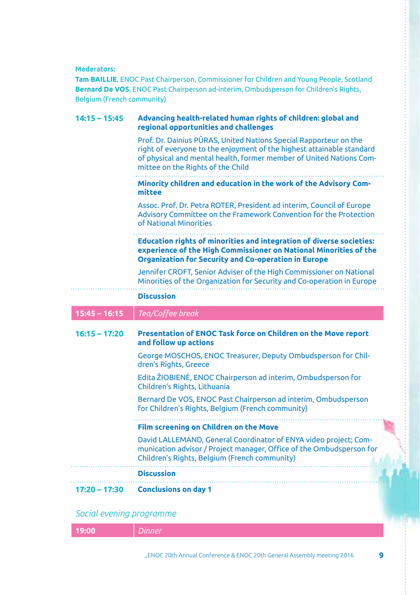Moderators:

**Tam BAILLIE**, ENOC Past Chairperson, Commissioner for Children and Young People, Scotland **Bernard De VOS**, ENOC Past Chairperson ad-interim, Ombudsperson for Children's Rights, Belgium (French community)

| $14:15 - 15:45$ | Advancing health-related human rights of children: global and<br>regional opportunities and challenges                                                                                                                                                 |
|-----------------|--------------------------------------------------------------------------------------------------------------------------------------------------------------------------------------------------------------------------------------------------------|
|                 | Prof. Dr. Dainius PURAS, United Nations Special Rapporteur on the<br>right of everyone to the enjoyment of the highest attainable standard<br>of physical and mental health, former member of United Nations Com-<br>mittee on the Rights of the Child |
|                 | Minority children and education in the work of the Advisory Com-<br>mittee                                                                                                                                                                             |
|                 | Assoc. Prof. Dr. Petra ROTER, President ad interim, Council of Europe<br>Advisory Committee on the Framework Convention for the Protection<br>of National Minorities                                                                                   |
|                 | <b>Education rights of minorities and integration of diverse societies:</b><br>experience of the High Commissioner on National Minorities of the<br><b>Organization for Security and Co-operation in Europe</b>                                        |
|                 | Jennifer CROFT, Senior Adviser of the High Commissioner on National<br>Minorities of the Organization for Security and Co-operation in Europe                                                                                                          |
|                 | <b>Discussion</b>                                                                                                                                                                                                                                      |
|                 |                                                                                                                                                                                                                                                        |
| $15:45 - 16:15$ | Tea/Coffee break                                                                                                                                                                                                                                       |
| $16:15 - 17:20$ | Presentation of ENOC Task force on Children on the Move report<br>and follow up actions                                                                                                                                                                |
|                 | George MOSCHOS, ENOC Treasurer, Deputy Ombudsperson for Chil-<br>dren's Rights, Greece                                                                                                                                                                 |
|                 | Edita ŽIOBIENĖ, ENOC Chairperson ad interim, Ombudsperson for<br>Children's Rights, Lithuania                                                                                                                                                          |
|                 | Bernard De VOS, ENOC Past Chairperson ad interim, Ombudsperson<br>for Children's Rights, Belgium (French community)                                                                                                                                    |
|                 | <b>Film screening on Children on the Move</b>                                                                                                                                                                                                          |
|                 | David LALLEMAND, General Coordinator of ENYA video project; Com-<br>munication advisor / Project manager, Office of the Ombudsperson for<br>Children's Rights, Belgium (French community)                                                              |
|                 | <b>Discussion</b>                                                                                                                                                                                                                                      |

*Social evening programme*

|  | re-nn |  |
|--|-------|--|
|--|-------|--|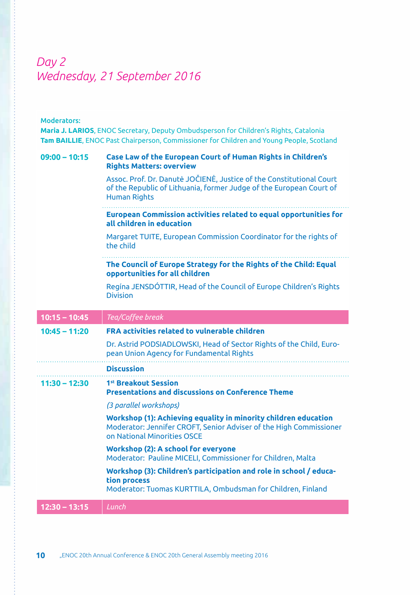# *Day 2 Wednesday, 21 September 2016*

### Moderators:

**Maria J. LARIOS**, ENOC Secretary, Deputy Ombudsperson for Children's Rights, Catalonia **Tam BAILLIE**, ENOC Past Chairperson, Commissioner for Children and Young People, Scotland

| $09:00 - 10:15$ | <b>Case Law of the European Court of Human Rights in Children's</b><br><b>Rights Matters: overview</b>                                                               |
|-----------------|----------------------------------------------------------------------------------------------------------------------------------------------------------------------|
|                 | Assoc. Prof. Dr. Danutė JOČIENĖ, Justice of the Constitutional Court<br>of the Republic of Lithuania, former Judge of the European Court of<br><b>Human Rights</b>   |
|                 | <b>European Commission activities related to equal opportunities for</b><br>all children in education                                                                |
|                 | Margaret TUITE, European Commission Coordinator for the rights of<br>the child                                                                                       |
|                 | The Council of Europe Strategy for the Rights of the Child: Equal<br>opportunities for all children                                                                  |
|                 | Regína JENSDÓTTIR, Head of the Council of Europe Children's Rights<br><b>Division</b>                                                                                |
| $10:15 - 10:45$ | Tea/Coffee break                                                                                                                                                     |
| $10:45 - 11:20$ | <b>FRA activities related to vulnerable children</b>                                                                                                                 |
|                 | Dr. Astrid PODSIADLOWSKI, Head of Sector Rights of the Child, Euro-<br>pean Union Agency for Fundamental Rights                                                      |
|                 | <b>Discussion</b>                                                                                                                                                    |
| $11:30 - 12:30$ | 1st Breakout Session<br><b>Presentations and discussions on Conference Theme</b>                                                                                     |
|                 | (3 parallel workshops)                                                                                                                                               |
|                 | Workshop (1): Achieving equality in minority children education<br>Moderator: Jennifer CROFT, Senior Adviser of the High Commissioner<br>on National Minorities OSCE |
|                 | Workshop (2): A school for everyone<br>Moderator: Pauline MICELI, Commissioner for Children, Malta                                                                   |
|                 | Workshop (3): Children's participation and role in school / educa-<br>tion process<br>Moderator: Tuomas KURTTILA, Ombudsman for Children, Finland                    |
| $12:30 - 13:15$ | Lunch                                                                                                                                                                |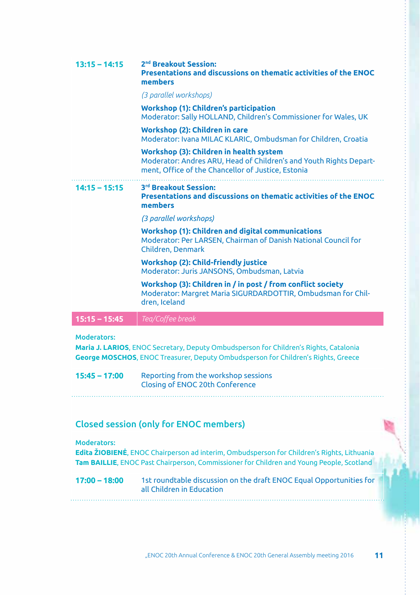| $13:15 - 14:15$ | 2 <sup>nd</sup> Breakout Session:<br>Presentations and discussions on thematic activities of the ENOC<br>members                                                    |
|-----------------|---------------------------------------------------------------------------------------------------------------------------------------------------------------------|
|                 | (3 parallel workshops)                                                                                                                                              |
|                 | <b>Workshop (1): Children's participation</b><br>Moderator: Sally HOLLAND, Children's Commissioner for Wales, UK                                                    |
|                 | Workshop (2): Children in care<br>Moderator: Ivana MILAC KLARIC, Ombudsman for Children, Croatia                                                                    |
|                 | Workshop (3): Children in health system<br>Moderator: Andres ARU, Head of Children's and Youth Rights Depart-<br>ment, Office of the Chancellor of Justice, Estonia |
| $14:15 - 15:15$ | 3rd Breakout Session:<br>Presentations and discussions on thematic activities of the ENOC<br>members                                                                |
|                 | (3 parallel workshops)                                                                                                                                              |
|                 | Workshop (1): Children and digital communications<br>Moderator: Per LARSEN, Chairman of Danish National Council for<br>Children. Denmark                            |
|                 | Workshop (2): Child-friendly justice<br>Moderator: Juris JANSONS, Ombudsman, Latvia                                                                                 |
|                 | Workshop (3): Children in / in post / from conflict society<br>Moderator: Margret Maria SIGURDARDOTTIR, Ombudsman for Chil-<br>dren, Iceland                        |
| $15:15 - 15:45$ | Tea/Coffee break                                                                                                                                                    |

Moderators:

**Maria J. LARIOS**, ENOC Secretary, Deputy Ombudsperson for Children's Rights, Catalonia **George MOSCHOS**, ENOC Treasurer, Deputy Ombudsperson for Children's Rights, Greece

**15:45 – 17:00** Reporting from the workshop sessions Closing of ENOC 20th Conference

### Closed session (only for ENOC members)

#### Moderators:

**Edita ŽIOBIENĖ**, ENOC Chairperson ad interim, Ombudsperson for Children's Rights, Lithuania **Tam BAILLIE**, ENOC Past Chairperson, Commissioner for Children and Young People, Scotland

**17:00 – 18:00** 1st roundtable discussion on the draft ENOC Equal Opportunities for all Children in Education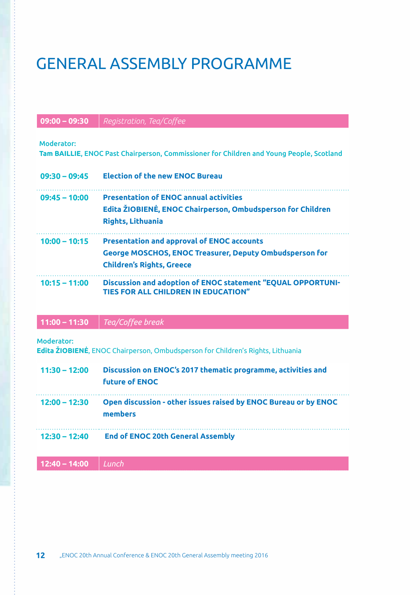# General Assembly programme

### **09:00 – 09:30** *Registration, Tea/Coffee*

#### Moderator:

**Tam BAILLIE**, ENOC Past Chairperson, Commissioner for Children and Young People, Scotland

| $09:30 - 09:45$ | <b>Election of the new ENOC Bureau</b>                         |
|-----------------|----------------------------------------------------------------|
| $09:45 - 10:00$ | <b>Presentation of ENOC annual activities</b>                  |
|                 | Edita ŽIOBIENĖ, ENOC Chairperson, Ombudsperson for Children    |
|                 | <b>Rights, Lithuania</b>                                       |
| $10:00 - 10:15$ | <b>Presentation and approval of ENOC accounts</b>              |
|                 | <b>George MOSCHOS, ENOC Treasurer, Deputy Ombudsperson for</b> |
|                 | <b>Children's Rights, Greece</b>                               |
| $10:15 - 11:00$ | Discussion and adoption of ENOC statement "EQUAL OPPORTUNI-    |
|                 | <b>TIES FOR ALL CHILDREN IN EDUCATION"</b>                     |

### **11:00 – 11:30** *Tea/Coffee break*

#### Moderator:

**Edita ŽIOBIENĖ**, ENOC Chairperson, Ombudsperson for Children's Rights, Lithuania

| $11:30 - 12:00$ | Discussion on ENOC's 2017 thematic programme, activities and<br><b>future of ENOC</b> |
|-----------------|---------------------------------------------------------------------------------------|
| $12:00 - 12:30$ | Open discussion - other issues raised by ENOC Bureau or by ENOC<br>members            |
| $12:30 - 12:40$ | <b>End of ENOC 20th General Assembly</b>                                              |

**12:40 – 14:00** *Lunch*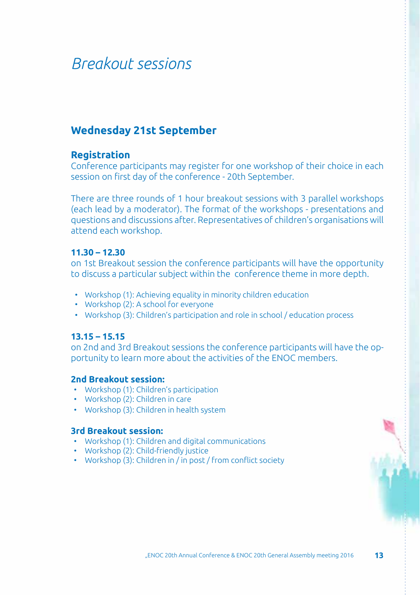# *Breakout sessions*

## **Wednesday 21st September**

### **Registration**

Conference participants may register for one workshop of their choice in each session on first day of the conference - 20th September.

There are three rounds of 1 hour breakout sessions with 3 parallel workshops (each lead by a moderator). The format of the workshops - presentations and questions and discussions after. Representatives of children's organisations will attend each workshop.

### **11.30 – 12.30**

on 1st Breakout session the conference participants will have the opportunity to discuss a particular subject within the conference theme in more depth.

- Workshop (1): Achieving equality in minority children education
- Workshop (2): A school for everyone
- Workshop (3): Children's participation and role in school / education process

### **13.15 – 15.15**

on 2nd and 3rd Breakout sessions the conference participants will have the opportunity to learn more about the activities of the ENOC members.

### **2nd Breakout session:**

- Workshop (1): Children's participation
- Workshop (2): Children in care
- Workshop (3): Children in health system

### **3rd Breakout session:**

- Workshop (1): Children and digital communications
- Workshop (2): Child-friendly justice
- Workshop (3): Children in / in post / from conflict society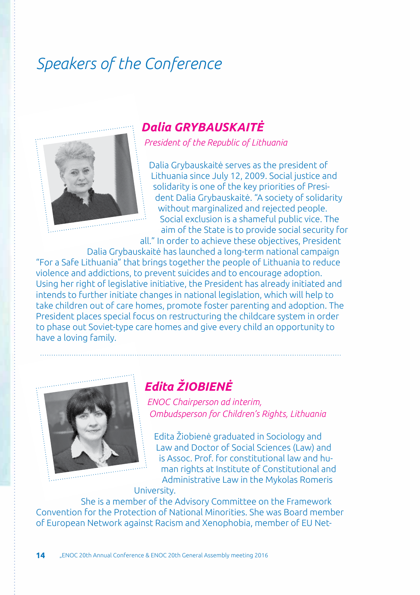# *Speakers of the Conference*



# *Dalia GRYBAUSKAITĖ*

*President of the Republic of Lithuania*

Dalia Grybauskaitė serves as the president of Lithuania since July 12, 2009. Social justice and solidarity is one of the key priorities of President Dalia Grybauskaitė. "A society of solidarity without marginalized and rejected people. Social exclusion is a shameful public vice. The aim of the State is to provide social security for

all." In order to achieve these objectives, President Dalia Grybauskaitė has launched a long-term national campaign "For a Safe Lithuania" that brings together the people of Lithuania to reduce violence and addictions, to prevent suicides and to encourage adoption. Using her right of legislative initiative, the President has already initiated and intends to further initiate changes in national legislation, which will help to take children out of care homes, promote foster parenting and adoption. The President places special focus on restructuring the childcare system in order to phase out Soviet-type care homes and give every child an opportunity to have a loving family.



# *Edita ŽIOBIENĖ*

*ENOC Chairperson ad interim, Ombudsperson for Children's Rights, Lithuania*

Edita Žiobienė graduated in Sociology and Law and Doctor of Social Sciences (Law) and is Assoc. Prof. for constitutional law and human rights at Institute of Constitutional and Administrative Law in the Mykolas Romeris University.

She is a member of the Advisory Committee on the Framework Convention for the Protection of National Minorities. She was Board member of European Network against Racism and Xenophobia, member of EU Net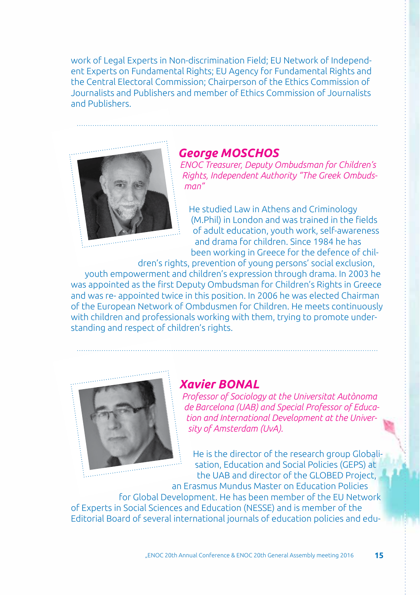work of Legal Experts in Non-discrimination Field; EU Network of Independent Experts on Fundamental Rights; EU Agency for Fundamental Rights and the Central Electoral Commission; Chairperson of the Ethics Commission of Journalists and Publishers and member of Ethics Commission of Journalists and Publishers.



## *George Moschos*

*ENOC Treasurer, Deputy Ombudsman for Children's Rights, Independent Authority "The Greek Ombudsman"*

He studied Law in Athens and Criminology (M.Phil) in London and was trained in the fields of adult education, youth work, self-awareness and drama for children. Since 1984 he has been working in Greece for the defence of chil-

dren's rights, prevention of young persons' social exclusion, youth empowerment and children's expression through drama. In 2003 he was appointed as the first Deputy Ombudsman for Children's Rights in Greece and was re- appointed twice in this position. In 2006 he was elected Chairman of the European Network of Ombdusmen for Children. He meets continuously with children and professionals working with them, trying to promote understanding and respect of children's rights.



## *Xavier Bonal*

*Professor of Sociology at the Universitat Autònoma de Barcelona (UAB) and Special Professor of Education and International Development at the University of Amsterdam (UvA).*

He is the director of the research group Globalisation, Education and Social Policies (GEPS) at the UAB and director of the GLOBED Project,

an Erasmus Mundus Master on Education Policies for Global Development. He has been member of the EU Network of Experts in Social Sciences and Education (NESSE) and is member of the Editorial Board of several international journals of education policies and edu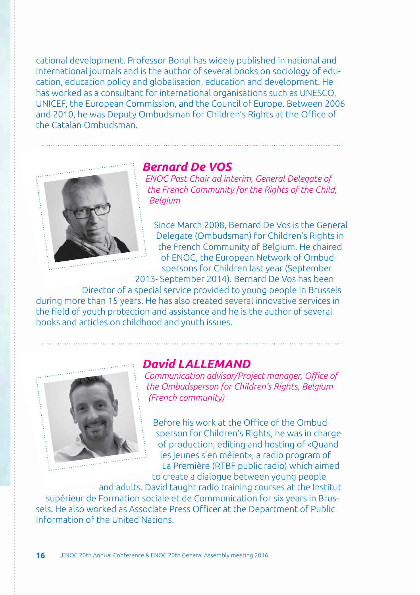cational development. Professor Bonal has widely published in national and international journals and is the author of several books on sociology of education, education policy and globalisation, education and development. He has worked as a consultant for international organisations such as UNESCO, UNICEF, the European Commission, and the Council of Europe. Between 2006 and 2010, he was Deputy Ombudsman for Children's Rights at the Office of the Catalan Ombudsman.



## *Bernard De VOS*

*ENOC Past Chair ad interim, General Delegate of the French Community for the Rights of the Child, Belgium*

Since March 2008, Bernard De Vos is the General Delegate (Ombudsman) for Children's Rights in the French Community of Belgium. He chaired of ENOC, the European Network of Ombudspersons for Children last year (September

2013- September 2014). Bernard De Vos has been

Director of a special service provided to young people in Brussels during more than 15 years. He has also created several innovative services in the field of youth protection and assistance and he is the author of several books and articles on childhood and youth issues.



### *David LALLEMAND*

*Communication advisor/Project manager, Office of the Ombudsperson for Children's Rights, Belgium (French community)*

Before his work at the Office of the Ombudsperson for Children's Rights, he was in charge of production, editing and hosting of «Quand les jeunes s'en mêlent», a radio program of La Première (RTBF public radio) which aimed to create a dialogue between young people

and adults. David taught radio training courses at the Institut supérieur de Formation sociale et de Communication for six years in Brussels. He also worked as Associate Press Officer at the Department of Public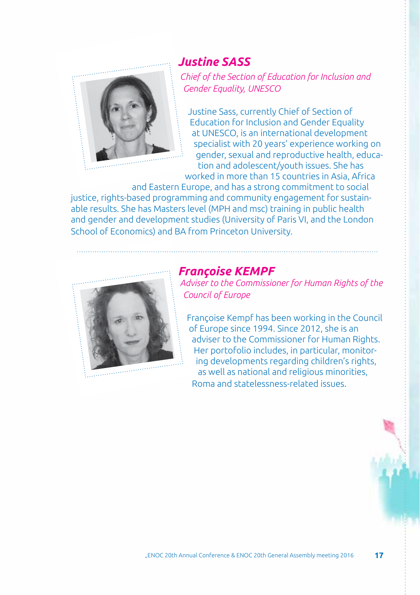

## *Justine SASS*

*Chief of the Section of Education for Inclusion and Gender Equality, UNESCO*

Justine Sass, currently Chief of Section of Education for Inclusion and Gender Equality at UNESCO, is an international development specialist with 20 years' experience working on gender, sexual and reproductive health, education and adolescent/youth issues. She has worked in more than 15 countries in Asia, Africa

and Eastern Europe, and has a strong commitment to social justice, rights-based programming and community engagement for sustainable results. She has Masters level (MPH and msc) training in public health and gender and development studies (University of Paris VI, and the London School of Economics) and BA from Princeton University.



### *Françoise KEMPF*

*Adviser to the Commissioner for Human Rights of the Council of Europe*

Françoise Kempf has been working in the Council of Europe since 1994. Since 2012, she is an adviser to the Commissioner for Human Rights. Her portofolio includes, in particular, monitoring developments regarding children's rights, as well as national and religious minorities, Roma and statelessness-related issues.

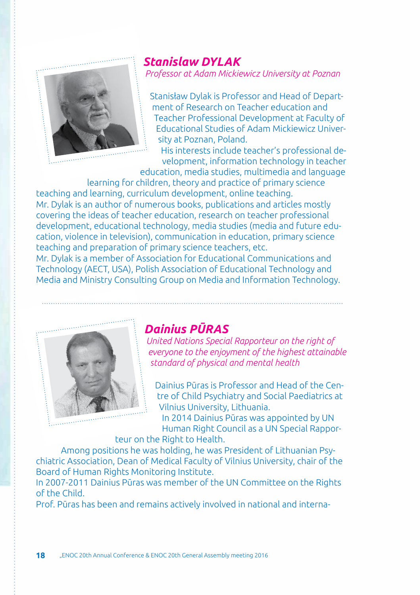

# *Stanislaw DYLAK*

*Professor at Adam Mickiewicz University at Poznan*

Stanisław Dylak is Professor and Head of Department of Research on Teacher education and Teacher Professional Development at Faculty of Educational Studies of Adam Mickiewicz University at Poznan, Poland.

His interests include teacher's professional development, information technology in teacher

education, media studies, multimedia and language learning for children, theory and practice of primary science teaching and learning, curriculum development, online teaching.

Mr. Dylak is an author of numerous books, publications and articles mostly covering the ideas of teacher education, research on teacher professional development, educational technology, media studies (media and future education, violence in television), communication in education, primary science teaching and preparation of primary science teachers, etc.

Mr. Dylak is a member of Association for Educational Communications and Technology (AECT, USA), Polish Association of Educational Technology and Media and Ministry Consulting Group on Media and Information Technology.



## *Dainius PŪRAS*

*United Nations Special Rapporteur on the right of everyone to the enjoyment of the highest attainable standard of physical and mental health*

Dainius Pūras is Professor and Head of the Centre of Child Psychiatry and Social Paediatrics at Vilnius University, Lithuania.

In 2014 Dainius Pūras was appointed by UN Human Right Council as a UN Special Rapporteur on the Right to Health.

Among positions he was holding, he was President of Lithuanian Psychiatric Association, Dean of Medical Faculty of Vilnius University, chair of the Board of Human Rights Monitoring Institute.

In 2007-2011 Dainius Pūras was member of the UN Committee on the Rights of the Child.

Prof. Pūras has been and remains actively involved in national and interna-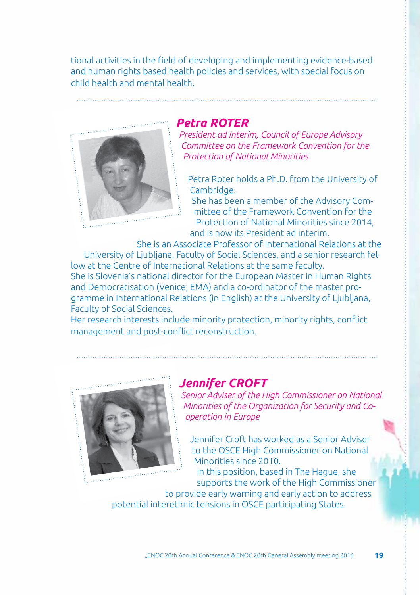tional activities in the field of developing and implementing evidence-based and human rights based health policies and services, with special focus on child health and mental health.



### *Petra ROTER*

*President ad interim, Council of Europe Advisory Committee on the Framework Convention for the Protection of National Minorities*

Petra Roter holds a Ph.D. from the University of Cambridge.

She has been a member of the Advisory Committee of the Framework Convention for the Protection of National Minorities since 2014, and is now its President ad interim.

She is an Associate Professor of International Relations at the University of Ljubljana, Faculty of Social Sciences, and a senior research fellow at the Centre of International Relations at the same faculty. She is Slovenia's national director for the European Master in Human Rights and Democratisation (Venice; EMA) and a co-ordinator of the master programme in International Relations (in English) at the University of Ljubljana, Faculty of Social Sciences.

Her research interests include minority protection, minority rights, conflict management and post-conflict reconstruction.



## *Jennifer CROFT*

*Senior Adviser of the High Commissioner on National Minorities of the Organization for Security and Cooperation in Europe*

Jennifer Croft has worked as a Senior Adviser to the OSCE High Commissioner on National Minorities since 2010.

In this position, based in The Hague, she supports the work of the High Commissioner

to provide early warning and early action to address potential interethnic tensions in OSCE participating States.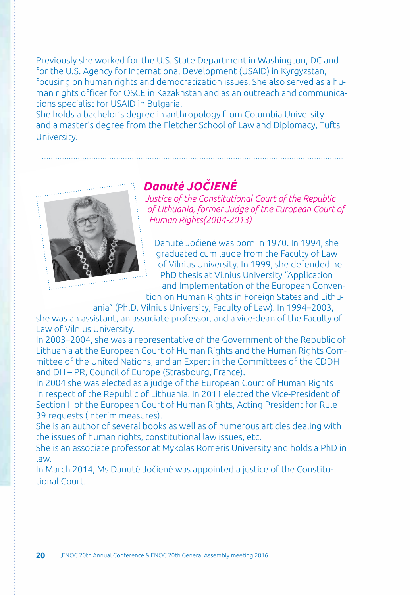Previously she worked for the U.S. State Department in Washington, DC and for the U.S. Agency for International Development (USAID) in Kyrgyzstan, focusing on human rights and democratization issues. She also served as a human rights officer for OSCE in Kazakhstan and as an outreach and communications specialist for USAID in Bulgaria.

She holds a bachelor's degree in anthropology from Columbia University and a master's degree from the Fletcher School of Law and Diplomacy, Tufts University.



# *Danutė JOČIENĖ*

*Justice of the Constitutional Court of the Republic of Lithuania, former Judge of the European Court of Human Rights(2004-2013)*

Danutė Jočienė was born in 1970. In 1994, she graduated cum laude from the Faculty of Law of Vilnius University. In 1999, she defended her PhD thesis at Vilnius University "Application and Implementation of the European Conven-

tion on Human Rights in Foreign States and Lithuania" (Ph.D. Vilnius University, Faculty of Law). In 1994–2003,

she was an assistant, an associate professor, and a vice-dean of the Faculty of Law of Vilnius University.

In 2003–2004, she was a representative of the Government of the Republic of Lithuania at the European Court of Human Rights and the Human Rights Committee of the United Nations, and an Expert in the Committees of the CDDH and DH – PR, Council of Europe (Strasbourg, France).

In 2004 she was elected as a judge of the European Court of Human Rights in respect of the Republic of Lithuania. In 2011 elected the Vice-President of Section II of the European Court of Human Rights, Acting President for Rule 39 requests (Interim measures).

She is an author of several books as well as of numerous articles dealing with the issues of human rights, constitutional law issues, etc.

She is an associate professor at Mykolas Romeris University and holds a PhD in law.

In March 2014, Ms Danutė Jočienė was appointed a justice of the Constitutional Court.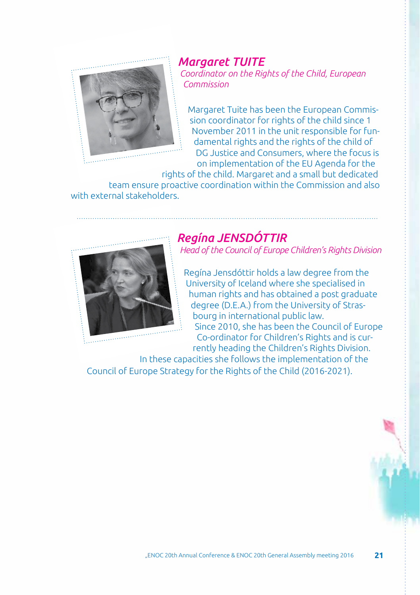

### *Margaret TUITE Coordinator on the Rights of the Child, European Commission*

Margaret Tuite has been the European Commission coordinator for rights of the child since 1 November 2011 in the unit responsible for fundamental rights and the rights of the child of DG Justice and Consumers, where the focus is on implementation of the EU Agenda for the

rights of the child. Margaret and a small but dedicated team ensure proactive coordination within the Commission and also with external stakeholders.



## *Regína JENSDÓTTIR*

*Head of the Council of Europe Children's Rights Division*

Regína Jensdóttir holds a law degree from the University of Iceland where she specialised in human rights and has obtained a post graduate degree (D.E.A.) from the University of Strasbourg in international public law. Since 2010, she has been the Council of Europe Co-ordinator for Children's Rights and is cur-

rently heading the Children's Rights Division. In these capacities she follows the implementation of the

Council of Europe Strategy for the Rights of the Child (2016-2021).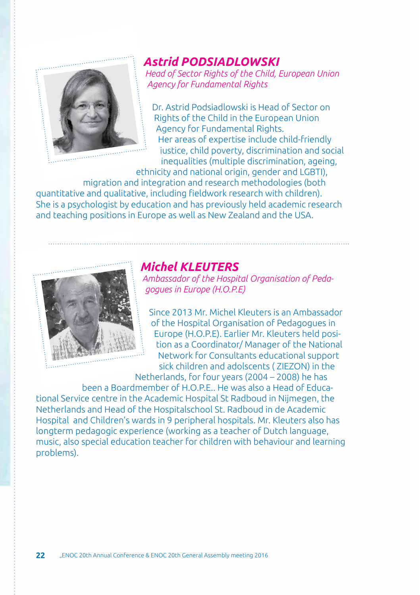

## *Astrid PODSIADLOWSKI*

*Head of Sector Rights of the Child, European Union Agency for Fundamental Rights*

Dr. Astrid Podsiadlowski is Head of Sector on Rights of the Child in the European Union Agency for Fundamental Rights. Her areas of expertise include child-friendly justice, child poverty, discrimination and social inequalities (multiple discrimination, ageing,

ethnicity and national origin, gender and LGBTI), migration and integration and research methodologies (both

quantitative and qualitative, including fieldwork research with children). She is a psychologist by education and has previously held academic research and teaching positions in Europe as well as New Zealand and the USA.



## *Michel Kleuters*

*Ambassador of the Hospital Organisation of Pedagogues in Europe (H.O.P.E)*

Since 2013 Mr. Michel Kleuters is an Ambassador of the Hospital Organisation of Pedagogues in Europe (H.O.P.E). Earlier Mr. Kleuters held position as a Coordinator/ Manager of the National Network for Consultants educational support sick children and adolscents ( ZIEZON) in the

Netherlands, for four years (2004 – 2008) he has

been a Boardmember of H.O.P.E.. He was also a Head of Educational Service centre in the Academic Hospital St Radboud in Nijmegen, the Netherlands and Head of the Hospitalschool St. Radboud in de Academic Hospital and Children's wards in 9 peripheral hospitals. Mr. Kleuters also has longterm pedagogic experience (working as a teacher of Dutch language, music, also special education teacher for children with behaviour and learning problems).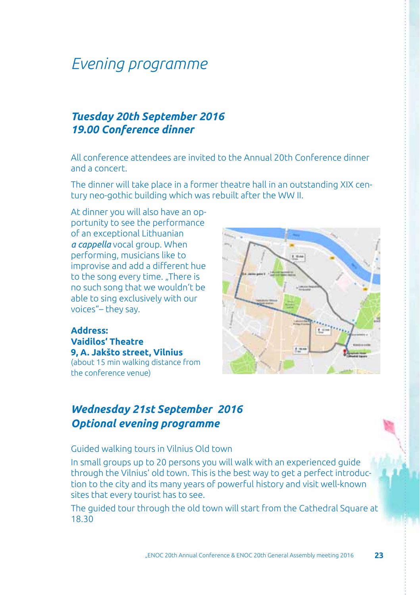# *Evening programme*

## *Tuesday 20th September 2016 19.00 Conference dinner*

All conference attendees are invited to the Annual 20th Conference dinner and a concert.

The dinner will take place in a former theatre hall in an outstanding XIX century neo-gothic building which was rebuilt after the WW II.

At dinner you will also have an opportunity to see the performance of an exceptional Lithuanian *a cappella* vocal group. When performing, musicians like to improvise and add a different hue to the song every time. ..There is no such song that we wouldn't be able to sing exclusively with our voices"– they say.

**Address: Vaidilos' Theatre 9, A. Jakšto street, Vilnius** (about 15 min walking distance from the conference venue)



## *Wednesday 21st September 2016 Optional evening programme*

### Guided walking tours in Vilnius Old town

In small groups up to 20 persons you will walk with an experienced guide through the Vilnius' old town. This is the best way to get a perfect introduction to the city and its many years of powerful history and visit well-known sites that every tourist has to see.

The guided tour through the old town will start from the Cathedral Square at 18.30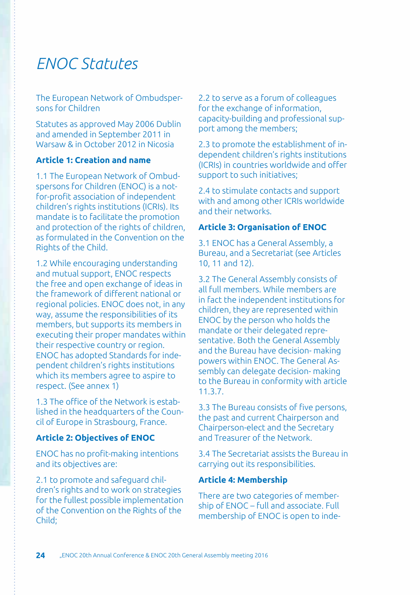# *ENOC Statutes*

The European Network of Ombudspersons for Children

Statutes as approved May 2006 Dublin and amended in September 2011 in Warsaw & in October 2012 in Nicosia

### **Article 1: Creation and name**

1.1 The European Network of Ombudspersons for Children (ENOC) is a notfor-profit association of independent children's rights institutions (ICRIs). Its mandate is to facilitate the promotion and protection of the rights of children, as formulated in the Convention on the Rights of the Child.

1.2 While encouraging understanding and mutual support, ENOC respects the free and open exchange of ideas in the framework of different national or regional policies. ENOC does not, in any way, assume the responsibilities of its members, but supports its members in executing their proper mandates within their respective country or region. ENOC has adopted Standards for independent children's rights institutions which its members agree to aspire to respect. (See annex 1)

1.3 The office of the Network is established in the headquarters of the Council of Europe in Strasbourg, France.

### **Article 2: Objectives of ENOC**

ENOC has no profit-making intentions and its objectives are:

2.1 to promote and safeguard children's rights and to work on strategies for the fullest possible implementation of the Convention on the Rights of the Child;

2.2 to serve as a forum of colleagues for the exchange of information, capacity-building and professional support among the members;

2.3 to promote the establishment of independent children's rights institutions (ICRIs) in countries worldwide and offer support to such initiatives;

2.4 to stimulate contacts and support with and among other ICRIs worldwide and their networks.

### **Article 3: Organisation of ENOC**

3.1 ENOC has a General Assembly, a Bureau, and a Secretariat (see Articles 10, 11 and 12).

3.2 The General Assembly consists of all full members. While members are in fact the independent institutions for children, they are represented within ENOC by the person who holds the mandate or their delegated representative. Both the General Assembly and the Bureau have decision- making powers within ENOC. The General Assembly can delegate decision- making to the Bureau in conformity with article 11.3.7.

3.3 The Bureau consists of five persons, the past and current Chairperson and Chairperson-elect and the Secretary and Treasurer of the Network.

3.4 The Secretariat assists the Bureau in carrying out its responsibilities.

### **Article 4: Membership**

There are two categories of membership of ENOC – full and associate. Full membership of ENOC is open to inde-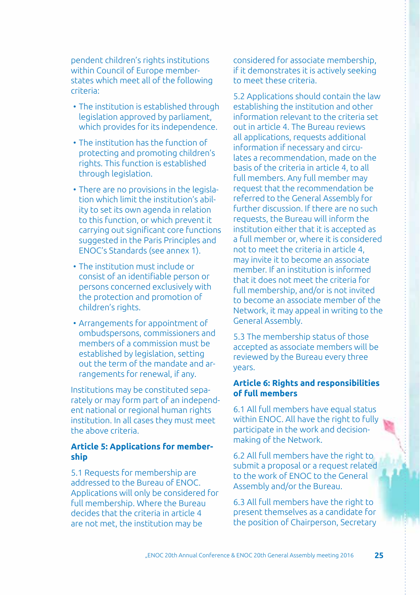pendent children's rights institutions within Council of Europe memberstates which meet all of the following criteria:

- The institution is established through legislation approved by parliament, which provides for its independence.
- The institution has the function of protecting and promoting children's rights. This function is established through legislation.
- There are no provisions in the legislation which limit the institution's ability to set its own agenda in relation to this function, or which prevent it carrying out significant core functions suggested in the Paris Principles and ENOC's Standards (see annex 1).
- The institution must include or consist of an identifiable person or persons concerned exclusively with the protection and promotion of children's rights.
- Arrangements for appointment of ombudspersons, commissioners and members of a commission must be established by legislation, setting out the term of the mandate and arrangements for renewal, if any.

Institutions may be constituted separately or may form part of an independent national or regional human rights institution. In all cases they must meet the above criteria.

### **Article 5: Applications for membership**

5.1 Requests for membership are addressed to the Bureau of ENOC. Applications will only be considered for full membership. Where the Bureau decides that the criteria in article 4 are not met, the institution may be

considered for associate membership, if it demonstrates it is actively seeking to meet these criteria.

5.2 Applications should contain the law establishing the institution and other information relevant to the criteria set out in article 4. The Bureau reviews all applications, requests additional information if necessary and circulates a recommendation, made on the basis of the criteria in article 4, to all full members. Any full member may request that the recommendation be referred to the General Assembly for further discussion. If there are no such requests, the Bureau will inform the institution either that it is accepted as a full member or, where it is considered not to meet the criteria in article 4, may invite it to become an associate member. If an institution is informed that it does not meet the criteria for full membership, and/or is not invited to become an associate member of the Network, it may appeal in writing to the General Assembly.

5.3 The membership status of those accepted as associate members will be reviewed by the Bureau every three years.

### **Article 6: Rights and responsibilities of full members**

6.1 All full members have equal status within ENOC. All have the right to fully participate in the work and decisionmaking of the Network.

6.2 All full members have the right to submit a proposal or a request related to the work of ENOC to the General Assembly and/or the Bureau.

6.3 All full members have the right to present themselves as a candidate for the position of Chairperson, Secretary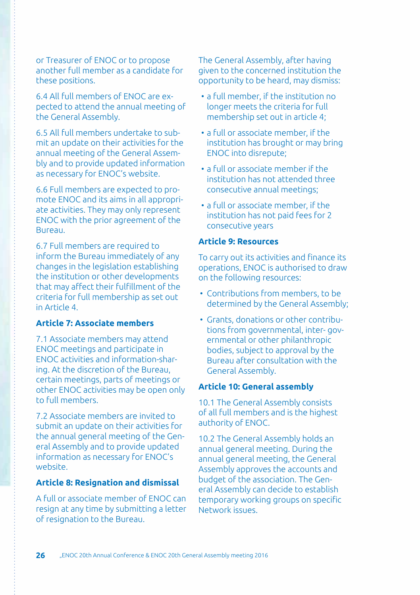or Treasurer of ENOC or to propose another full member as a candidate for these positions.

6.4 All full members of ENOC are expected to attend the annual meeting of the General Assembly.

6.5 All full members undertake to submit an update on their activities for the annual meeting of the General Assembly and to provide updated information as necessary for ENOC's website.

6.6 Full members are expected to promote ENOC and its aims in all appropriate activities. They may only represent ENOC with the prior agreement of the Bureau.

6.7 Full members are required to inform the Bureau immediately of any changes in the legislation establishing the institution or other developments that may affect their fulfillment of the criteria for full membership as set out in Article 4.

### **Article 7: Associate members**

7.1 Associate members may attend ENOC meetings and participate in ENOC activities and information-sharing. At the discretion of the Bureau, certain meetings, parts of meetings or other ENOC activities may be open only to full members.

7.2 Associate members are invited to submit an update on their activities for the annual general meeting of the General Assembly and to provide updated information as necessary for ENOC's website.

#### **Article 8: Resignation and dismissal**

A full or associate member of ENOC can resign at any time by submitting a letter of resignation to the Bureau.

The General Assembly, after having given to the concerned institution the opportunity to be heard, may dismiss:

- a full member, if the institution no longer meets the criteria for full membership set out in article 4;
- a full or associate member, if the institution has brought or may bring ENOC into disrepute;
- a full or associate member if the institution has not attended three consecutive annual meetings;
- a full or associate member, if the institution has not paid fees for 2 consecutive years

### **Article 9: Resources**

To carry out its activities and finance its operations, ENOC is authorised to draw on the following resources:

- Contributions from members, to be determined by the General Assembly;
- Grants, donations or other contributions from governmental, inter- governmental or other philanthropic bodies, subject to approval by the Bureau after consultation with the General Assembly.

#### **Article 10: General assembly**

10.1 The General Assembly consists of all full members and is the highest authority of ENOC.

10.2 The General Assembly holds an annual general meeting. During the annual general meeting, the General Assembly approves the accounts and budget of the association. The General Assembly can decide to establish temporary working groups on specific Network issues.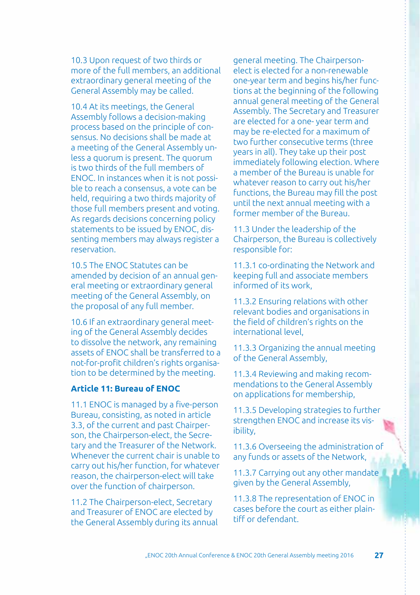10.3 Upon request of two thirds or more of the full members, an additional extraordinary general meeting of the General Assembly may be called.

10.4 At its meetings, the General Assembly follows a decision-making process based on the principle of consensus. No decisions shall be made at a meeting of the General Assembly unless a quorum is present. The quorum is two thirds of the full members of ENOC. In instances when it is not possible to reach a consensus, a vote can be held, requiring a two thirds majority of those full members present and voting. As regards decisions concerning policy statements to be issued by ENOC, dissenting members may always register a reservation.

10.5 The ENOC Statutes can be amended by decision of an annual general meeting or extraordinary general meeting of the General Assembly, on the proposal of any full member.

10.6 If an extraordinary general meeting of the General Assembly decides to dissolve the network, any remaining assets of ENOC shall be transferred to a not-for-profit children's rights organisation to be determined by the meeting.

### **Article 11: Bureau of ENOC**

11.1 ENOC is managed by a five-person Bureau, consisting, as noted in article 3.3, of the current and past Chairperson, the Chairperson-elect, the Secretary and the Treasurer of the Network. Whenever the current chair is unable to carry out his/her function, for whatever reason, the chairperson-elect will take over the function of chairperson.

11.2 The Chairperson-elect, Secretary and Treasurer of ENOC are elected by the General Assembly during its annual

general meeting. The Chairpersonelect is elected for a non-renewable one-year term and begins his/her functions at the beginning of the following annual general meeting of the General Assembly. The Secretary and Treasurer are elected for a one- year term and may be re-elected for a maximum of two further consecutive terms (three years in all). They take up their post immediately following election. Where a member of the Bureau is unable for whatever reason to carry out his/her functions, the Bureau may fill the post until the next annual meeting with a former member of the Bureau.

11.3 Under the leadership of the Chairperson, the Bureau is collectively responsible for:

11.3.1 co-ordinating the Network and keeping full and associate members informed of its work,

11.3.2 Ensuring relations with other relevant bodies and organisations in the field of children's rights on the international level,

11.3.3 Organizing the annual meeting of the General Assembly,

11.3.4 Reviewing and making recommendations to the General Assembly on applications for membership,

11.3.5 Developing strategies to further strengthen ENOC and increase its visibility,

11.3.6 Overseeing the administration of any funds or assets of the Network,

11.3.7 Carrying out any other mandate given by the General Assembly,

11.3.8 The representation of ENOC in cases before the court as either plaintiff or defendant.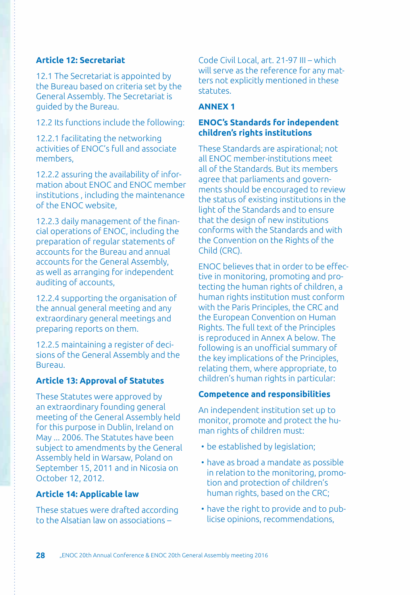### **Article 12: Secretariat**

12.1 The Secretariat is appointed by the Bureau based on criteria set by the General Assembly. The Secretariat is guided by the Bureau.

12.2 Its functions include the following:

12.2.1 facilitating the networking activities of ENOC's full and associate members,

12.2.2 assuring the availability of information about ENOC and ENOC member institutions , including the maintenance of the ENOC website,

12.2.3 daily management of the financial operations of ENOC, including the preparation of regular statements of accounts for the Bureau and annual accounts for the General Assembly, as well as arranging for independent auditing of accounts,

12.2.4 supporting the organisation of the annual general meeting and any extraordinary general meetings and preparing reports on them.

12.2.5 maintaining a register of decisions of the General Assembly and the Bureau.

### **Article 13: Approval of Statutes**

These Statutes were approved by an extraordinary founding general meeting of the General Assembly held for this purpose in Dublin, Ireland on May ... 2006. The Statutes have been subject to amendments by the General Assembly held in Warsaw, Poland on September 15, 2011 and in Nicosia on October 12, 2012.

### **Article 14: Applicable law**

These statues were drafted according to the Alsatian law on associations –

Code Civil Local, art. 21-97 III – which will serve as the reference for any matters not explicitly mentioned in these statutes.

### **ANNEX 1**

### **ENOC's Standards for independent children's rights institutions**

These Standards are aspirational; not all ENOC member-institutions meet all of the Standards. But its members agree that parliaments and governments should be encouraged to review the status of existing institutions in the light of the Standards and to ensure that the design of new institutions conforms with the Standards and with the Convention on the Rights of the Child (CRC).

ENOC believes that in order to be effective in monitoring, promoting and protecting the human rights of children, a human rights institution must conform with the Paris Principles, the CRC and the European Convention on Human Rights. The full text of the Principles is reproduced in Annex A below. The following is an unofficial summary of the key implications of the Principles, relating them, where appropriate, to children's human rights in particular:

### **Competence and responsibilities**

An independent institution set up to monitor, promote and protect the human rights of children must:

- be established by legislation:
- have as broad a mandate as possible in relation to the monitoring, promotion and protection of children's human rights, based on the CRC;
- have the right to provide and to publicise opinions, recommendations,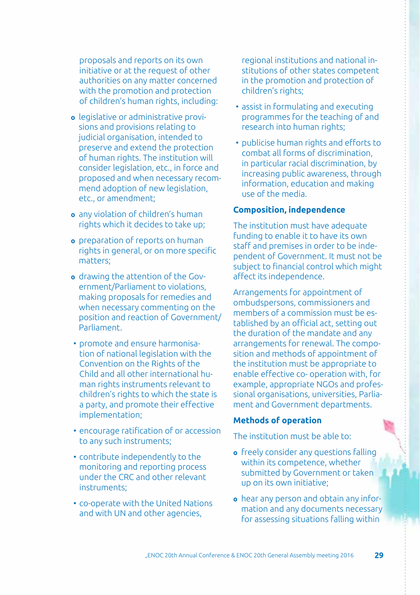proposals and reports on its own initiative or at the request of other authorities on any matter concerned with the promotion and protection of children's human rights, including:

- **o** legislative or administrative provisions and provisions relating to judicial organisation, intended to preserve and extend the protection of human rights. The institution will consider legislation, etc., in force and proposed and when necessary recommend adoption of new legislation, etc., or amendment;
- **o** any violation of children's human rights which it decides to take up;
- **o** preparation of reports on human rights in general, or on more specific matters;
- **o** drawing the attention of the Government/Parliament to violations, making proposals for remedies and when necessary commenting on the position and reaction of Government/ Parliament.
- promote and ensure harmonisation of national legislation with the Convention on the Rights of the Child and all other international human rights instruments relevant to children's rights to which the state is a party, and promote their effective implementation;
- encourage ratification of or accession to any such instruments;
- contribute independently to the monitoring and reporting process under the CRC and other relevant instruments;
- co-operate with the United Nations and with UN and other agencies,

regional institutions and national institutions of other states competent in the promotion and protection of children's rights;

- assist in formulating and executing programmes for the teaching of and research into human rights;
- publicise human rights and efforts to combat all forms of discrimination, in particular racial discrimination, by increasing public awareness, through information, education and making use of the media.

### **Composition, independence**

The institution must have adequate funding to enable it to have its own staff and premises in order to be independent of Government. It must not be subject to financial control which might affect its independence.

Arrangements for appointment of ombudspersons, commissioners and members of a commission must be established by an official act, setting out the duration of the mandate and any arrangements for renewal. The composition and methods of appointment of the institution must be appropriate to enable effective co- operation with, for example, appropriate NGOs and professional organisations, universities, Parliament and Government departments.

### **Methods of operation**

The institution must be able to:

- **o** freely consider any questions falling within its competence, whether submitted by Government or taken up on its own initiative;
- **o** hear any person and obtain any information and any documents necessary for assessing situations falling within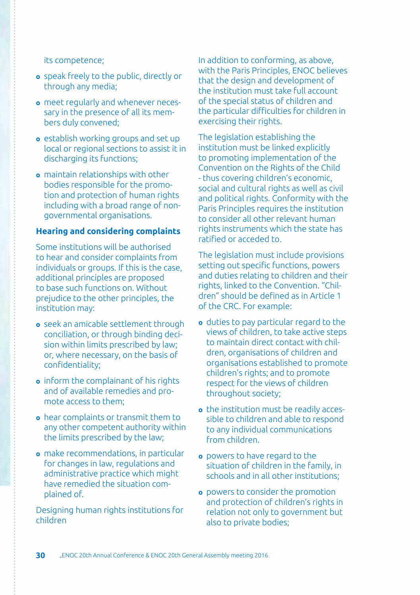#### its competence;

- **o** speak freely to the public, directly or through any media;
- **o** meet regularly and whenever necessary in the presence of all its members duly convened;
- **o** establish working groups and set up local or regional sections to assist it in discharging its functions;
- **o** maintain relationships with other bodies responsible for the promotion and protection of human rights including with a broad range of nongovernmental organisations.

### **Hearing and considering complaints**

Some institutions will be authorised to hear and consider complaints from individuals or groups. If this is the case, additional principles are proposed to base such functions on. Without prejudice to the other principles, the institution may:

- **o** seek an amicable settlement through conciliation, or through binding decision within limits prescribed by law; or, where necessary, on the basis of confidentiality;
- **o** inform the complainant of his rights and of available remedies and promote access to them;
- **o** hear complaints or transmit them to any other competent authority within the limits prescribed by the law;
- **o** make recommendations, in particular for changes in law, regulations and administrative practice which might have remedied the situation complained of.

Designing human rights institutions for children

In addition to conforming, as above, with the Paris Principles, ENOC believes that the design and development of the institution must take full account of the special status of children and the particular difficulties for children in exercising their rights.

The legislation establishing the institution must be linked explicitly to promoting implementation of the Convention on the Rights of the Child - thus covering children's economic, social and cultural rights as well as civil and political rights. Conformity with the Paris Principles requires the institution to consider all other relevant human rights instruments which the state has ratified or acceded to.

The legislation must include provisions setting out specific functions, powers and duties relating to children and their rights, linked to the Convention. "Children" should be defined as in Article 1 of the CRC. For example:

- **o** duties to pay particular regard to the views of children, to take active steps to maintain direct contact with children, organisations of children and organisations established to promote children's rights; and to promote respect for the views of children throughout society;
- **o** the institution must be readily accessible to children and able to respond to any individual communications from children.
- **o** powers to have regard to the situation of children in the family, in schools and in all other institutions;
- **o** powers to consider the promotion and protection of children's rights in relation not only to government but also to private bodies;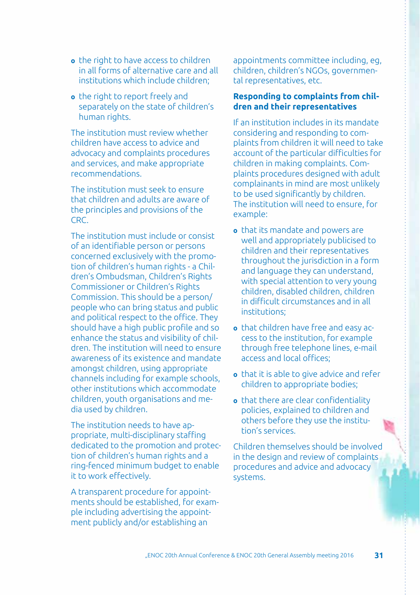- **o** the right to have access to children in all forms of alternative care and all institutions which include children;
- **o** the right to report freely and separately on the state of children's human rights.

The institution must review whether children have access to advice and advocacy and complaints procedures and services, and make appropriate recommendations.

The institution must seek to ensure that children and adults are aware of the principles and provisions of the CRC.

The institution must include or consist of an identifiable person or persons concerned exclusively with the promotion of children's human rights - a Children's Ombudsman, Children's Rights Commissioner or Children's Rights Commission. This should be a person/ people who can bring status and public and political respect to the office. They should have a high public profile and so enhance the status and visibility of children. The institution will need to ensure awareness of its existence and mandate amongst children, using appropriate channels including for example schools, other institutions which accommodate children, youth organisations and media used by children.

The institution needs to have appropriate, multi-disciplinary staffing dedicated to the promotion and protection of children's human rights and a ring-fenced minimum budget to enable it to work effectively.

A transparent procedure for appointments should be established, for example including advertising the appointment publicly and/or establishing an

appointments committee including, eg, children, children's NGOs, governmental representatives, etc.

#### **Responding to complaints from children and their representatives**

If an institution includes in its mandate considering and responding to complaints from children it will need to take account of the particular difficulties for children in making complaints. Complaints procedures designed with adult complainants in mind are most unlikely to be used significantly by children. The institution will need to ensure, for example:

- **o** that its mandate and powers are well and appropriately publicised to children and their representatives throughout the jurisdiction in a form and language they can understand, with special attention to very young children, disabled children, children in difficult circumstances and in all institutions;
- **o** that children have free and easy access to the institution, for example through free telephone lines, e-mail access and local offices;
- **o** that it is able to give advice and refer children to appropriate bodies;
- **o** that there are clear confidentiality policies, explained to children and others before they use the institution's services.

Children themselves should be involved in the design and review of complaints procedures and advice and advocacy systems.